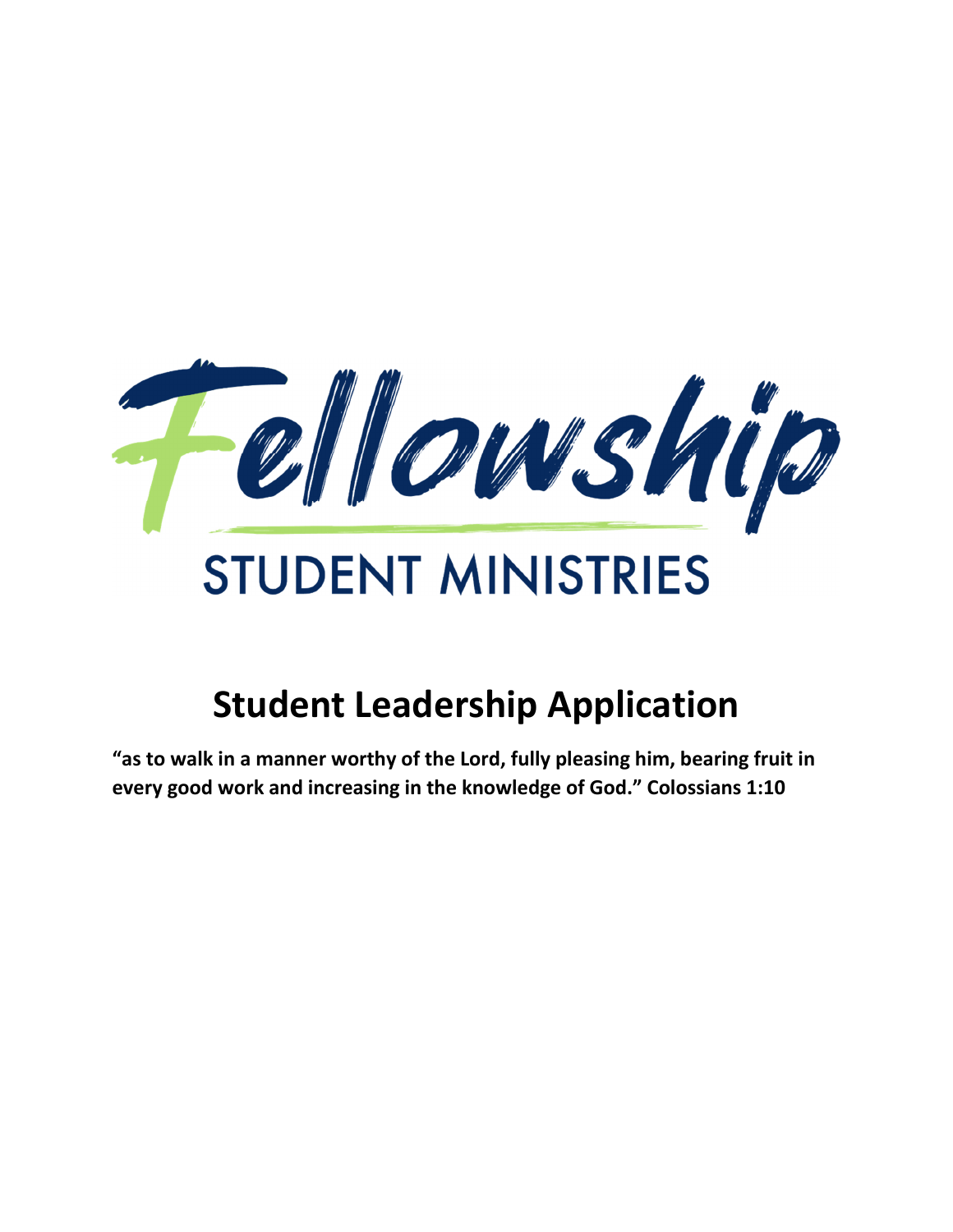

# **Student Leadership Application**

**"as to walk in a manner worthy of the Lord, fully pleasing him, bearing fruit in every good work and increasing in the knowledge of God." Colossians 1:10**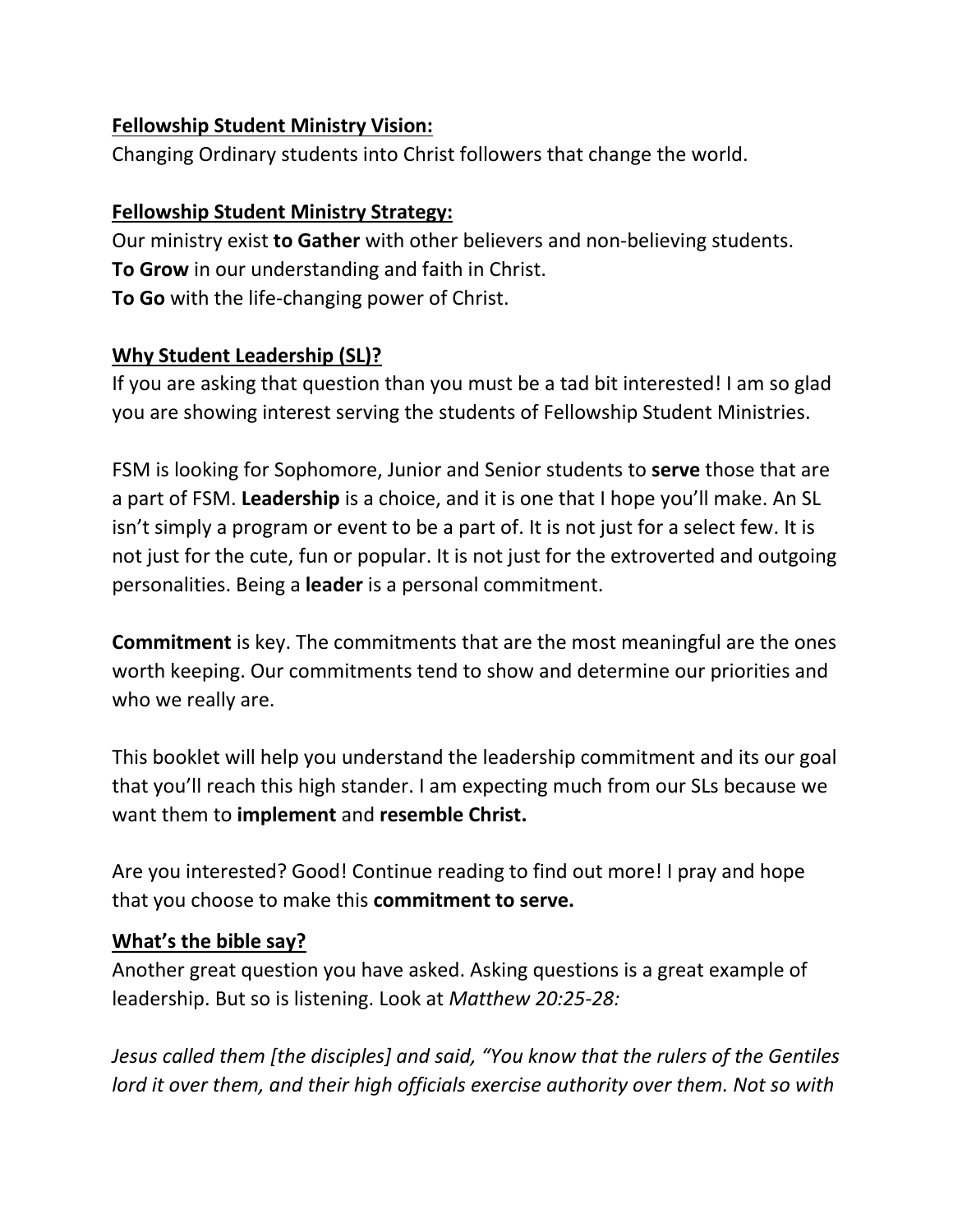#### **Fellowship Student Ministry Vision:**

Changing Ordinary students into Christ followers that change the world.

#### **Fellowship Student Ministry Strategy:**

Our ministry exist **to Gather** with other believers and non-believing students. **To Grow** in our understanding and faith in Christ. **To Go** with the life-changing power of Christ.

#### **Why Student Leadership (SL)?**

If you are asking that question than you must be a tad bit interested! I am so glad you are showing interest serving the students of Fellowship Student Ministries.

FSM is looking for Sophomore, Junior and Senior students to **serve** those that are a part of FSM. **Leadership** is a choice, and it is one that I hope you'll make. An SL isn't simply a program or event to be a part of. It is not just for a select few. It is not just for the cute, fun or popular. It is not just for the extroverted and outgoing personalities. Being a **leader** is a personal commitment.

**Commitment** is key. The commitments that are the most meaningful are the ones worth keeping. Our commitments tend to show and determine our priorities and who we really are.

This booklet will help you understand the leadership commitment and its our goal that you'll reach this high stander. I am expecting much from our SLs because we want them to **implement** and **resemble Christ.** 

Are you interested? Good! Continue reading to find out more! I pray and hope that you choose to make this **commitment to serve.**

#### **What's the bible say?**

Another great question you have asked. Asking questions is a great example of leadership. But so is listening. Look at *Matthew 20:25-28:* 

*Jesus called them [the disciples] and said, "You know that the rulers of the Gentiles lord it over them, and their high officials exercise authority over them. Not so with*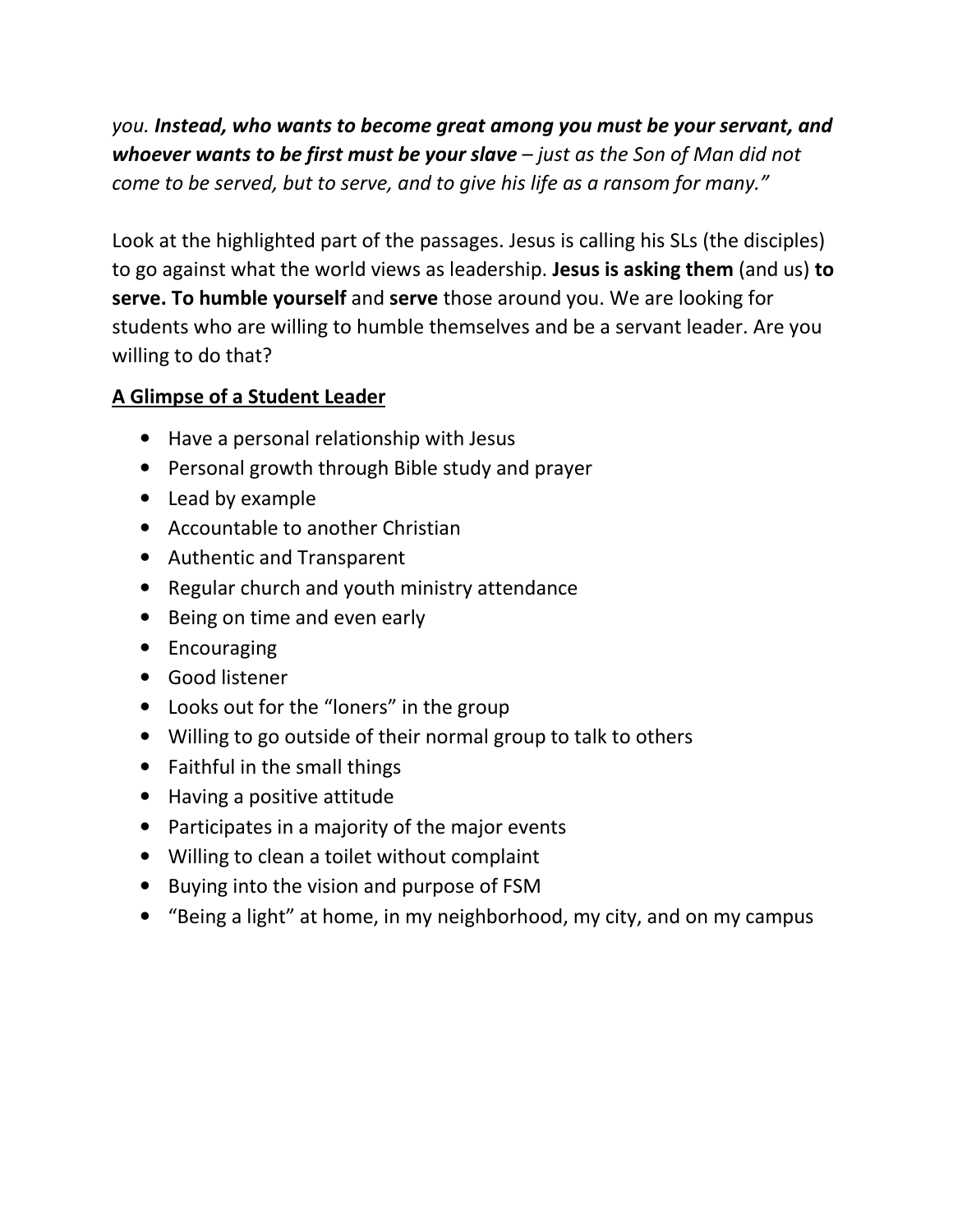*you. Instead, who wants to become great among you must be your servant, and whoever wants to be first must be your slave – just as the Son of Man did not come to be served, but to serve, and to give his life as a ransom for many."*

Look at the highlighted part of the passages. Jesus is calling his SLs (the disciples) to go against what the world views as leadership. **Jesus is asking them** (and us) **to serve. To humble yourself** and **serve** those around you. We are looking for students who are willing to humble themselves and be a servant leader. Are you willing to do that?

## **A Glimpse of a Student Leader**

- Have a personal relationship with Jesus
- Personal growth through Bible study and prayer
- Lead by example
- Accountable to another Christian
- Authentic and Transparent
- Regular church and youth ministry attendance
- Being on time and even early
- Encouraging
- Good listener
- Looks out for the "loners" in the group
- Willing to go outside of their normal group to talk to others
- Faithful in the small things
- Having a positive attitude
- Participates in a majority of the major events
- Willing to clean a toilet without complaint
- Buying into the vision and purpose of FSM
- "Being a light" at home, in my neighborhood, my city, and on my campus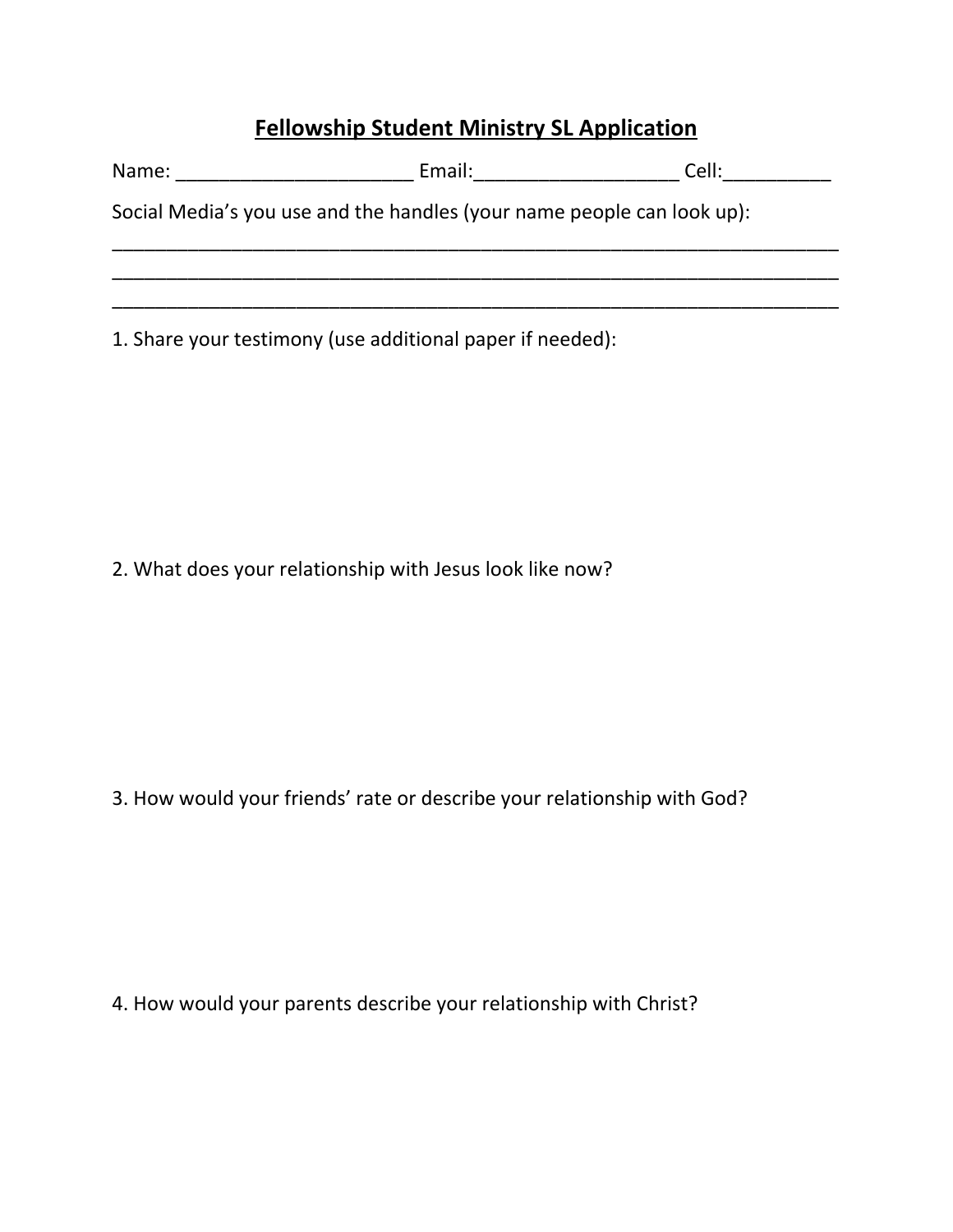## **Fellowship Student Ministry SL Application**

| Name: and the same of the same of the same of the same of the same of the same of the same of the same of the same of the same of the same of the same of the same of the same of the same of the same of the same of the same | Email: Email: All and the state of the state of the state of the state of the state of the state of the state o | Cell: |
|--------------------------------------------------------------------------------------------------------------------------------------------------------------------------------------------------------------------------------|-----------------------------------------------------------------------------------------------------------------|-------|
|                                                                                                                                                                                                                                | Social Media's you use and the handles (your name people can look up):                                          |       |
|                                                                                                                                                                                                                                |                                                                                                                 |       |
|                                                                                                                                                                                                                                | 1. Share your testimony (use additional paper if needed):                                                       |       |

2. What does your relationship with Jesus look like now?

3. How would your friends' rate or describe your relationship with God?

4. How would your parents describe your relationship with Christ?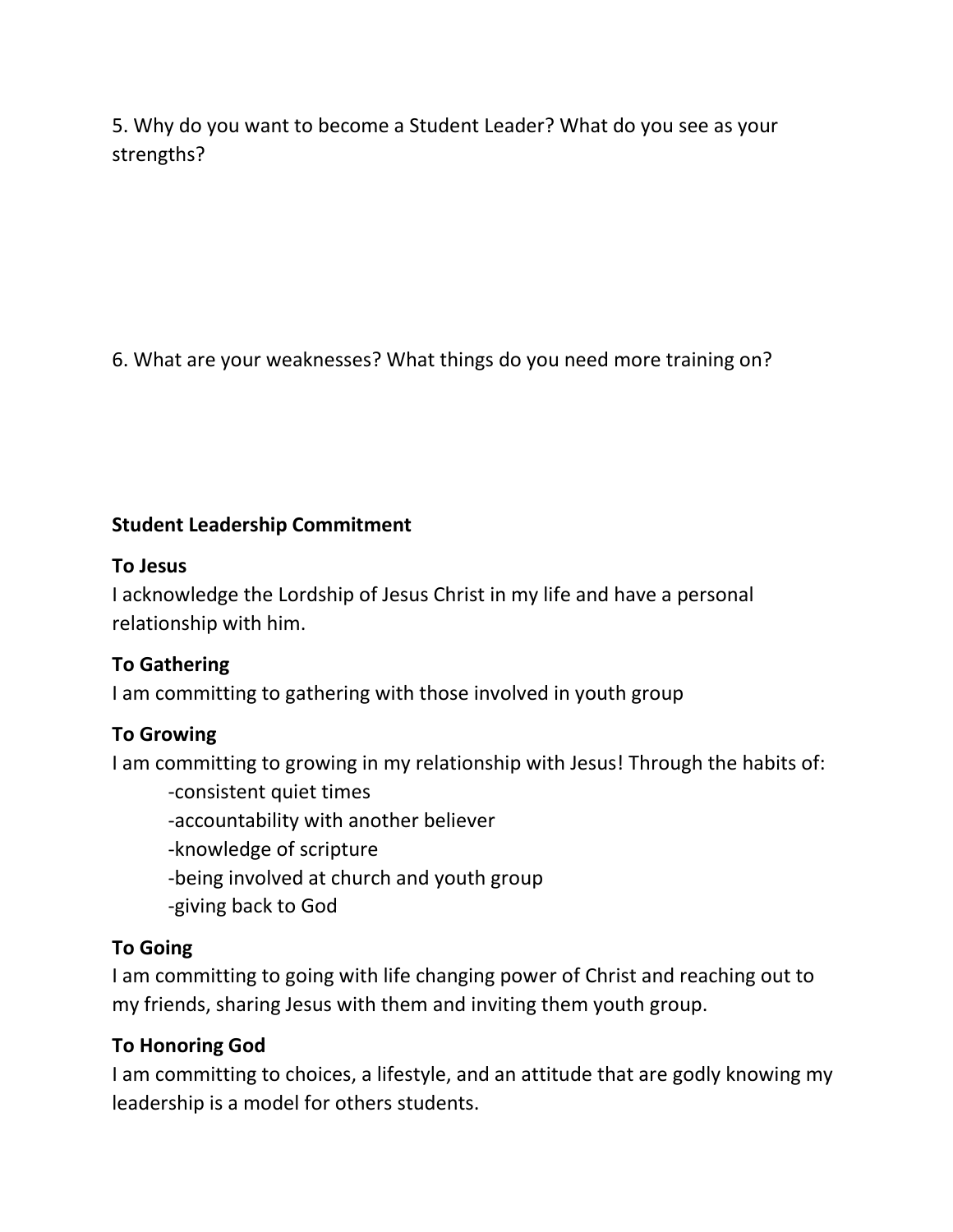5. Why do you want to become a Student Leader? What do you see as your strengths?

6. What are your weaknesses? What things do you need more training on?

## **Student Leadership Commitment**

## **To Jesus**

I acknowledge the Lordship of Jesus Christ in my life and have a personal relationship with him.

## **To Gathering**

I am committing to gathering with those involved in youth group

## **To Growing**

I am committing to growing in my relationship with Jesus! Through the habits of:

-consistent quiet times

-accountability with another believer

- -knowledge of scripture
- -being involved at church and youth group
- -giving back to God

## **To Going**

I am committing to going with life changing power of Christ and reaching out to my friends, sharing Jesus with them and inviting them youth group.

## **To Honoring God**

I am committing to choices, a lifestyle, and an attitude that are godly knowing my leadership is a model for others students.